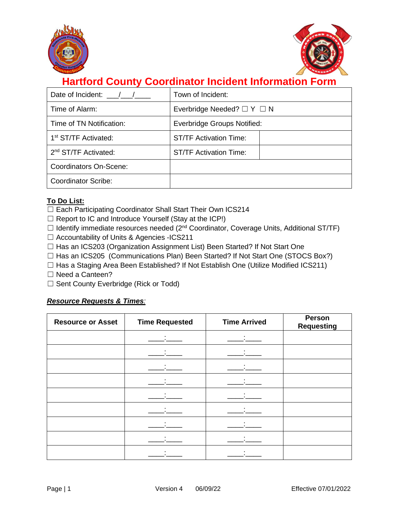



# **Hartford County Coordinator Incident Information Form**

| Date of Incident: / /            | Town of Incident:                  |  |
|----------------------------------|------------------------------------|--|
| Time of Alarm:                   | Everbridge Needed? $\Box Y \Box N$ |  |
| Time of TN Notification:         | Everbridge Groups Notified:        |  |
| 1 <sup>st</sup> ST/TF Activated: | <b>ST/TF Activation Time:</b>      |  |
| 2 <sup>nd</sup> ST/TF Activated: | <b>ST/TF Activation Time:</b>      |  |
| Coordinators On-Scene:           |                                    |  |
| <b>Coordinator Scribe:</b>       |                                    |  |

### **To Do List:**

□ Each Participating Coordinator Shall Start Their Own ICS214

- $\Box$  Report to IC and Introduce Yourself (Stay at the ICP!)
- $\Box$  Identify immediate resources needed ( $2^{nd}$  Coordinator, Coverage Units, Additional ST/TF)
- ☐ Accountability of Units & Agencies -ICS211
- □ Has an ICS203 (Organization Assignment List) Been Started? If Not Start One
- ☐ Has an ICS205 (Communications Plan) Been Started? If Not Start One (STOCS Box?)
- ☐ Has a Staging Area Been Established? If Not Establish One (Utilize Modified ICS211)
- □ Need a Canteen?
- ☐ Sent County Everbridge (Rick or Todd)

#### *Resource Requests & Times:*

| <b>Resource or Asset</b> | <b>Time Requested</b> | <b>Time Arrived</b> | Person<br><b>Requesting</b> |
|--------------------------|-----------------------|---------------------|-----------------------------|
|                          |                       |                     |                             |
|                          |                       |                     |                             |
|                          |                       |                     |                             |
|                          |                       |                     |                             |
|                          |                       |                     |                             |
|                          |                       |                     |                             |
|                          |                       |                     |                             |
|                          |                       |                     |                             |
|                          |                       |                     |                             |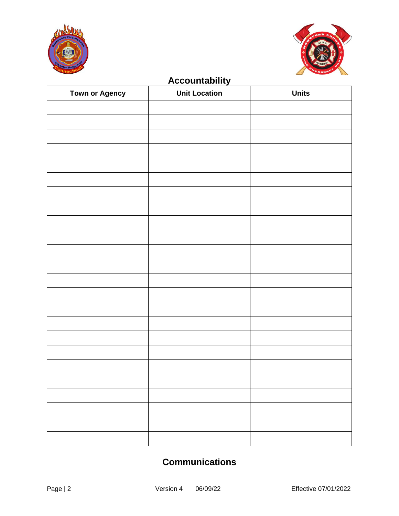



## **Accountability**

| <b>Town or Agency</b> | <b>Unit Location</b> | <b>Units</b> |
|-----------------------|----------------------|--------------|
|                       |                      |              |
|                       |                      |              |
|                       |                      |              |
|                       |                      |              |
|                       |                      |              |
|                       |                      |              |
|                       |                      |              |
|                       |                      |              |
|                       |                      |              |
|                       |                      |              |
|                       |                      |              |
|                       |                      |              |
|                       |                      |              |
|                       |                      |              |
|                       |                      |              |
|                       |                      |              |
|                       |                      |              |
|                       |                      |              |
|                       |                      |              |
|                       |                      |              |
|                       |                      |              |
|                       |                      |              |
|                       |                      |              |
|                       |                      |              |

### **Communications**